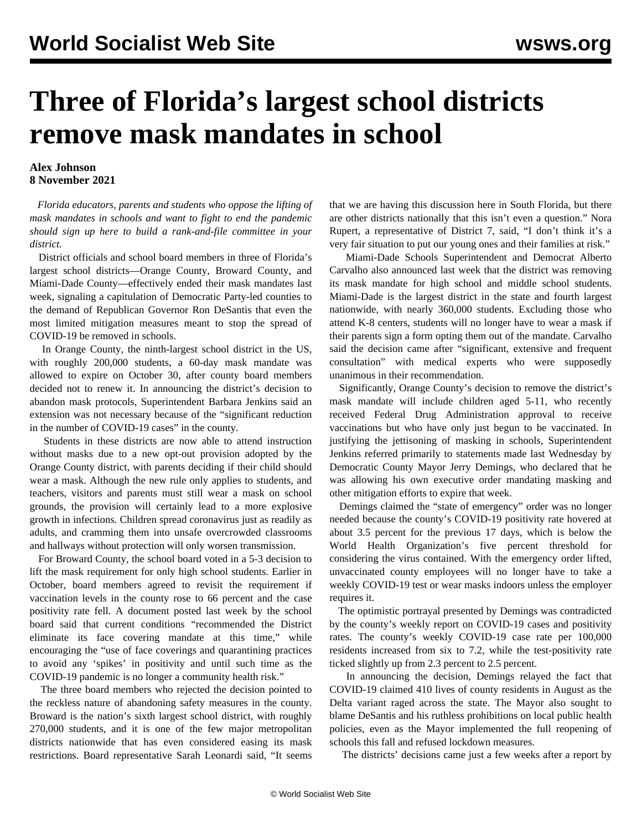## **Three of Florida's largest school districts remove mask mandates in school**

## **Alex Johnson 8 November 2021**

 *Florida educators, parents and students who oppose the lifting of mask mandates in schools and want to fight to end the pandemic should [sign up here to build a rank-and-file committee](/edsafety) in your district.*

 District officials and school board members in three of Florida's largest school districts—Orange County, Broward County, and Miami-Dade County—effectively ended their mask mandates last week, signaling a capitulation of Democratic Party-led counties to the demand of Republican Governor Ron DeSantis that even the most limited mitigation measures meant to stop the spread of COVID-19 be removed in schools.

 In Orange County, the ninth-largest school district in the US, with roughly 200,000 students, a 60-day mask mandate was allowed to expire on October 30, after county board members decided not to renew it. In announcing the district's decision to abandon mask protocols, Superintendent Barbara Jenkins said an extension was not necessary because of the "significant reduction in the number of COVID-19 cases" in the county.

 Students in these districts are now able to attend instruction without masks due to a new opt-out provision adopted by the Orange County district, with parents deciding if their child should wear a mask. Although the new rule only applies to students, and teachers, visitors and parents must still wear a mask on school grounds, the provision will certainly lead to a more explosive growth in infections. Children spread coronavirus just as readily as adults, and cramming them into unsafe overcrowded classrooms and hallways without protection will only worsen transmission.

 For Broward County, the school board voted in a 5-3 decision to lift the mask requirement for only high school students. Earlier in October, board members agreed to revisit the requirement if vaccination levels in the county rose to 66 percent and the case positivity rate fell. A document posted last week by the school board said that current conditions "recommended the District eliminate its face covering mandate at this time," while encouraging the "use of face coverings and quarantining practices to avoid any 'spikes' in positivity and until such time as the COVID-19 pandemic is no longer a community health risk."

 The three board members who rejected the decision pointed to the reckless nature of abandoning safety measures in the county. Broward is the nation's sixth largest school district, with roughly 270,000 students, and it is one of the few major metropolitan districts nationwide that has even considered easing its mask restrictions. Board representative Sarah Leonardi said, "It seems that we are having this discussion here in South Florida, but there are other districts nationally that this isn't even a question." Nora Rupert, a representative of District 7, said, "I don't think it's a very fair situation to put our young ones and their families at risk."

 Miami-Dade Schools Superintendent and Democrat Alberto Carvalho also announced last week that the district was removing its mask mandate for high school and middle school students. Miami-Dade is the largest district in the state and fourth largest nationwide, with nearly 360,000 students. Excluding those who attend K-8 centers, students will no longer have to wear a mask if their parents sign a form opting them out of the mandate. Carvalho said the decision came after "significant, extensive and frequent consultation" with medical experts who were supposedly unanimous in their recommendation.

 Significantly, Orange County's decision to remove the district's mask mandate will include children aged 5-11, who recently received Federal Drug Administration approval to receive vaccinations but who have only just begun to be vaccinated. In justifying the jettisoning of masking in schools, Superintendent Jenkins referred primarily to statements made last Wednesday by Democratic County Mayor Jerry Demings, who declared that he was allowing his own executive order mandating masking and other mitigation efforts to expire that week.

 Demings claimed the "state of emergency" order was no longer needed because the county's COVID-19 positivity rate hovered at about 3.5 percent for the previous 17 days, which is below the World Health Organization's five percent threshold for considering the virus contained. With the emergency order lifted, unvaccinated county employees will no longer have to take a weekly COVID-19 test or wear masks indoors unless the employer requires it.

 The optimistic portrayal presented by Demings was contradicted by the county's weekly report on COVID-19 cases and positivity rates. The county's weekly COVID-19 case rate per 100,000 residents increased from six to 7.2, while the test-positivity rate ticked slightly up from 2.3 percent to 2.5 percent.

 In announcing the decision, Demings relayed the fact that COVID-19 claimed 410 lives of county residents in August as the Delta variant raged across the state. The Mayor also sought to blame DeSantis and his ruthless prohibitions on local public health policies, even as the Mayor implemented the full reopening of schools this fall and refused lockdown measures.

The districts' decisions came just a few weeks after a [report](/en/articles/2021/10/14/educ-o14.html) by